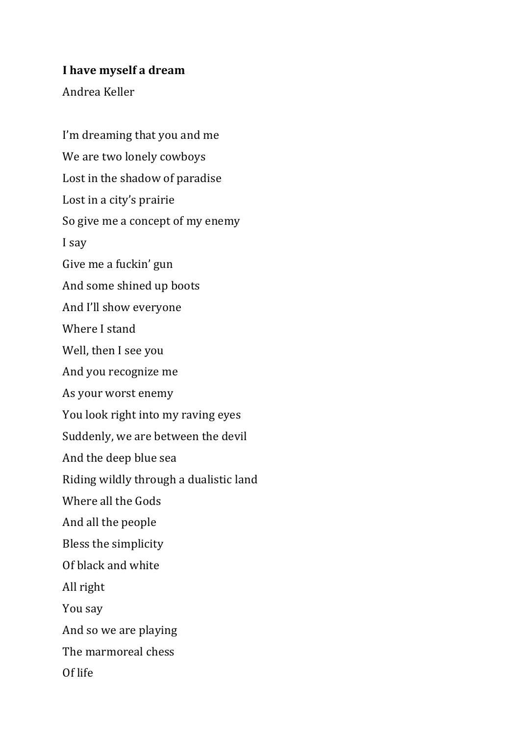## **I** have myself a dream

Andrea Keller

I'm dreaming that you and me We are two lonely cowboys Lost in the shadow of paradise Lost in a city's prairie So give me a concept of my enemy I say Give me a fuckin' gun And some shined up boots And I'll show everyone Where I stand Well, then I see you And you recognize me As your worst enemy You look right into my raving eyes Suddenly, we are between the devil And the deep blue sea Riding wildly through a dualistic land Where all the Gods And all the people Bless the simplicity Of black and white All right You say And so we are playing The marmoreal chess Of life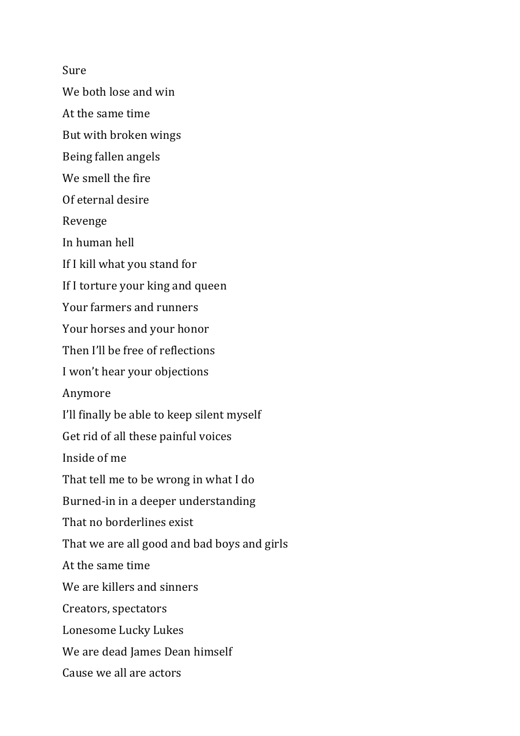Sure

We both lose and win

At the same time

But with broken wings

Being fallen angels

We smell the fire

Of eternal desire

Revenge

In human hell

If I kill what you stand for

If I torture your king and queen

Your farmers and runners

Your horses and your honor

Then I'll be free of reflections

I won't hear your objections

Anymore

I'll finally be able to keep silent myself

Get rid of all these painful voices

Inside of me

That tell me to be wrong in what I do

Burned-in in a deeper understanding

That no borderlines exist

That we are all good and bad boys and girls

At the same time

We are killers and sinners

Creators, spectators

Lonesome Lucky Lukes

We are dead Iames Dean himself

Cause we all are actors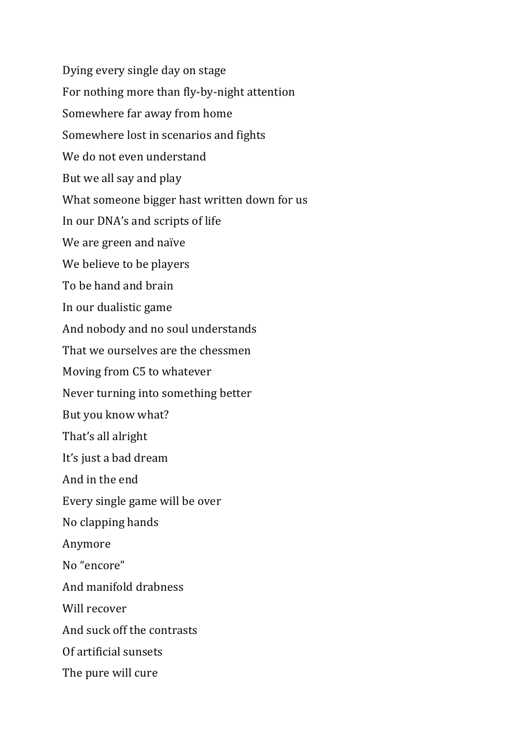Dying every single day on stage For nothing more than fly-by-night attention Somewhere far away from home Somewhere lost in scenarios and fights We do not even understand But we all say and play What someone bigger hast written down for us In our DNA's and scripts of life We are green and naïve We believe to be players To be hand and brain In our dualistic game And nobody and no soul understands That we ourselves are the chessmen Moving from C5 to whatever Never turning into something better But you know what? That's all alright It's just a bad dream And in the end Every single game will be over No clapping hands Anymore No "encore" And manifold drabness Will recover And suck off the contrasts Of artificial sunsets The pure will cure